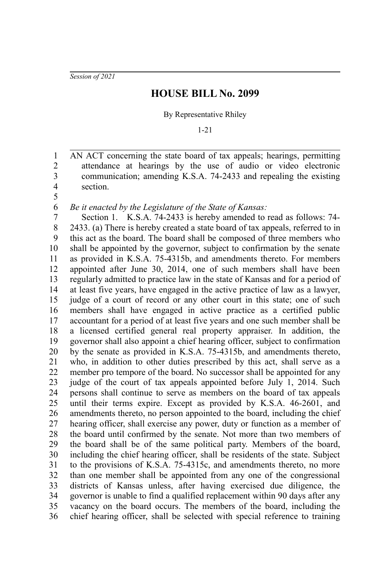*Session of 2021*

## **HOUSE BILL No. 2099**

By Representative Rhiley

1-21

AN ACT concerning the state board of tax appeals; hearings, permitting attendance at hearings by the use of audio or video electronic communication; amending K.S.A. 74-2433 and repealing the existing section. 1 2 3 4

5

*Be it enacted by the Legislature of the State of Kansas:* 6

Section 1. K.S.A. 74-2433 is hereby amended to read as follows: 74- 2433. (a) There is hereby created a state board of tax appeals, referred to in this act as the board. The board shall be composed of three members who shall be appointed by the governor, subject to confirmation by the senate as provided in K.S.A. 75-4315b, and amendments thereto. For members appointed after June 30, 2014, one of such members shall have been regularly admitted to practice law in the state of Kansas and for a period of at least five years, have engaged in the active practice of law as a lawyer, judge of a court of record or any other court in this state; one of such members shall have engaged in active practice as a certified public accountant for a period of at least five years and one such member shall be a licensed certified general real property appraiser. In addition, the governor shall also appoint a chief hearing officer, subject to confirmation by the senate as provided in K.S.A. 75-4315b, and amendments thereto, who, in addition to other duties prescribed by this act, shall serve as a member pro tempore of the board. No successor shall be appointed for any judge of the court of tax appeals appointed before July 1, 2014. Such persons shall continue to serve as members on the board of tax appeals until their terms expire. Except as provided by K.S.A. 46-2601, and amendments thereto, no person appointed to the board, including the chief hearing officer, shall exercise any power, duty or function as a member of the board until confirmed by the senate. Not more than two members of the board shall be of the same political party. Members of the board, including the chief hearing officer, shall be residents of the state. Subject to the provisions of K.S.A. 75-4315c, and amendments thereto, no more than one member shall be appointed from any one of the congressional districts of Kansas unless, after having exercised due diligence, the governor is unable to find a qualified replacement within 90 days after any vacancy on the board occurs. The members of the board, including the chief hearing officer, shall be selected with special reference to training 7 8 9 10 11 12 13 14 15 16 17 18 19 20 21 22 23 24 25 26 27 28 29 30 31 32 33 34 35 36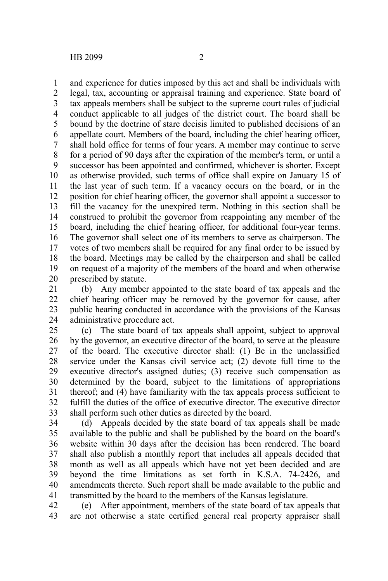and experience for duties imposed by this act and shall be individuals with legal, tax, accounting or appraisal training and experience. State board of tax appeals members shall be subject to the supreme court rules of judicial conduct applicable to all judges of the district court. The board shall be bound by the doctrine of stare decisis limited to published decisions of an appellate court. Members of the board, including the chief hearing officer, shall hold office for terms of four years. A member may continue to serve for a period of 90 days after the expiration of the member's term, or until a successor has been appointed and confirmed, whichever is shorter. Except as otherwise provided, such terms of office shall expire on January 15 of the last year of such term. If a vacancy occurs on the board, or in the position for chief hearing officer, the governor shall appoint a successor to fill the vacancy for the unexpired term. Nothing in this section shall be construed to prohibit the governor from reappointing any member of the board, including the chief hearing officer, for additional four-year terms. The governor shall select one of its members to serve as chairperson. The votes of two members shall be required for any final order to be issued by the board. Meetings may be called by the chairperson and shall be called on request of a majority of the members of the board and when otherwise prescribed by statute. 1 2 3 4 5 6 7 8 9 10 11 12 13 14 15 16 17 18 19 20

(b) Any member appointed to the state board of tax appeals and the chief hearing officer may be removed by the governor for cause, after public hearing conducted in accordance with the provisions of the Kansas administrative procedure act. 21 22 23 24

(c) The state board of tax appeals shall appoint, subject to approval by the governor, an executive director of the board, to serve at the pleasure of the board. The executive director shall: (1) Be in the unclassified service under the Kansas civil service act; (2) devote full time to the executive director's assigned duties; (3) receive such compensation as determined by the board, subject to the limitations of appropriations thereof; and (4) have familiarity with the tax appeals process sufficient to fulfill the duties of the office of executive director. The executive director shall perform such other duties as directed by the board. 25 26 27 28 29 30 31 32 33

(d) Appeals decided by the state board of tax appeals shall be made available to the public and shall be published by the board on the board's website within 30 days after the decision has been rendered. The board shall also publish a monthly report that includes all appeals decided that month as well as all appeals which have not yet been decided and are beyond the time limitations as set forth in K.S.A. 74-2426, and amendments thereto. Such report shall be made available to the public and transmitted by the board to the members of the Kansas legislature. 34 35 36 37 38 39 40 41

(e) After appointment, members of the state board of tax appeals that are not otherwise a state certified general real property appraiser shall 42 43